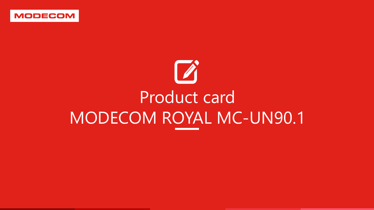

# Product card MODECOM ROYAL MC-UN90.1

<u>. A shekara ta 1989 na sanarin a shekara ta 1989 na sanarin a shekara ta 1989 na sanarin a shekara ta 1980 na s</u>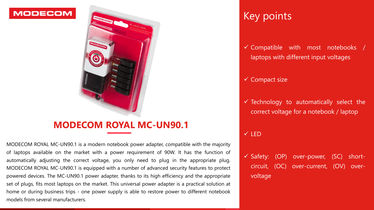# Key points

✓ Compatible with most notebooks / laptops with different input voltages

 $\checkmark$  Technology to automatically select the correct voltage for a notebook / laptop

✓ Compact size

#### ✓ LED

✓ Safety: (OP) over-power, (SC) shortcircuit, (OC) over-current, (OV) overvoltage



### **MODECOM**



## **MODECOM ROYAL MC-UN90.1**

MODECOM ROYAL MC-UN90.1 is a modern notebook power adapter, compatible with the majority of laptops available on the market with a power requirement of 90W. It has the function of automatically adjusting the correct voltage, you only need to plug in the appropriate plug. MODECOM ROYAL MC-UN90.1 is equipped with a number of advanced security features to protect powered devices. The MC-UN90.1 power adapter, thanks to its high efficiency and the appropriate set of plugs, fits most laptops on the market. This universal power adapter is a practical solution at home or during business trips - one power supply is able to restore power to different notebook models from several manufacturers.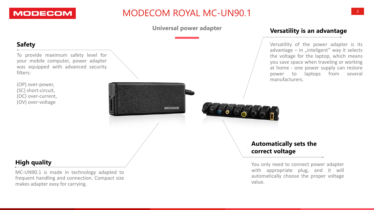# MODECOM ROYAL MC-UN90.1





### **Universal power adapter**

MODECOM

### **High quality**

MC-UN90.1 is made in technology adapted to frequent handling and connection. Compact size makes adapter easy for carrying.

You only need to connect power adapter with appropriate plug, and it will automatically choose the proper voltage value.

### **Automatically sets the correct voltage**

### **Safety**

To provide maximum safety level for your mobile computer, power adapter was equipped with advanced security filters:

(OP) over-power, (SC) short-circuit, (OC) over-current, (OV) over-voltage

### **Versatility is an advantage**

Versatility of the power adapter is its advantage  $-$  in "inteligent" way it selects the voltage for the laptop, which means you save space when traveling or working at home - one power supply can restore power to laptops from several manufacturers.

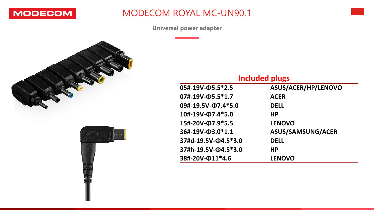

## MODECOM ROYAL MC-UN90.1





Universal power adapter

### **Included plugs**

| $05# - 19V - 05.5*2.5$<br>07#-19V-05.5*1.7<br>09#-19.5V-07.4*5.0 | ASUS/ACER/HP/LENOVO                               |                     |               |
|------------------------------------------------------------------|---------------------------------------------------|---------------------|---------------|
|                                                                  | <b>ACER</b><br><b>DELL</b>                        |                     |               |
|                                                                  |                                                   | 10#-19V-07.4*5.0    | <b>HP</b>     |
| 15#-20V-Ф7.9*5.5<br>36#-19V-03.0*1.1<br>37#d-19.5V-Q4.5*3.0      | <b>LENOVO</b><br>ASUS/SAMSUNG/ACER<br><b>DELL</b> |                     |               |
|                                                                  |                                                   | 37#h-19.5V-Q4.5*3.0 | <b>HP</b>     |
|                                                                  |                                                   | 38#-20V-Ф11*4.6     | <b>LENOVO</b> |

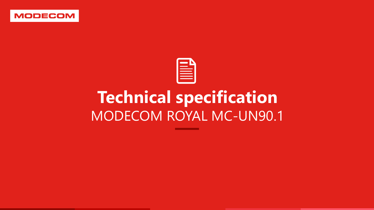

# **Technical specification** MODECOM ROYAL MC-UN90.1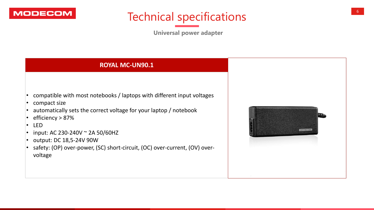







**Universal power adapter**

### **ROYAL MC-UN90.1**

- compatible with most notebooks / laptops with different input voltages
- compact size
- automatically sets the correct voltage for your laptop / notebook
- efficiency > 87%
- LED
- input: AC 230-240V  $\sim$  2A 50/60HZ
- output: DC 18,5-24V 90W
- safety: (OP) over-power, (SC) short-circuit, (OC) over-current, (OV) overvoltage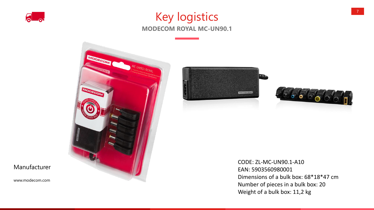

# Key logistics **MODECOM ROYAL MC-UN90.1**



### Manufacturer

www.modecom.com



**CODE: ZL-MC-UN90.1-A10** EAN: 5903560980001 Dimensions of a bulk box: 68\*18\*47 cm Number of pieces in a bulk box: 20 Weight of a bulk box: 11,2 kg